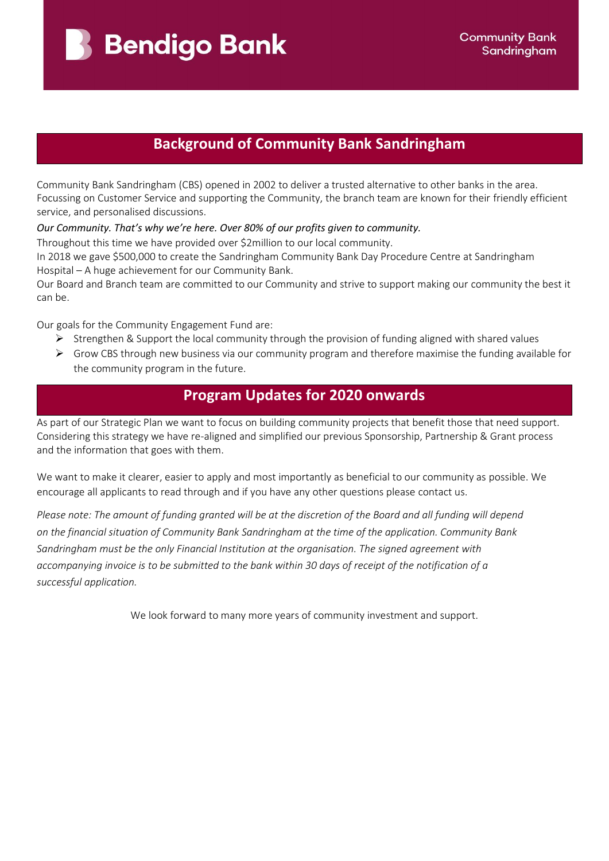**Bendigo Bank** 

# **Background of Community Bank Sandringham**

Community Bank Sandringham (CBS) opened in 2002 to deliver a trusted alternative to other banks in the area. Focussing on Customer Service and supporting the Community, the branch team are known for their friendly efficient service, and personalised discussions.

*Our Community. That's why we're here. Over 80% of our profits given to community.*

Throughout this time we have provided over \$2million to our local community.

In 2018 we gave \$500,000 to create the Sandringham Community Bank Day Procedure Centre at Sandringham Hospital – A huge achievement for our Community Bank.

Our Board and Branch team are committed to our Community and strive to support making our community the best it can be.

Our goals for the Community Engagement Fund are:

- $\triangleright$  Strengthen & Support the local community through the provision of funding aligned with shared values
- $\triangleright$  Grow CBS through new business via our community program and therefore maximise the funding available for the community program in the future.

## **Program Updates for 2020 onwards**

As part of our Strategic Plan we want to focus on building community projects that benefit those that need support. Considering this strategy we have re-aligned and simplified our previous Sponsorship, Partnership & Grant process and the information that goes with them.

We want to make it clearer, easier to apply and most importantly as beneficial to our community as possible. We encourage all applicants to read through and if you have any other questions please contact us.

*Please note: The amount of funding granted will be at the discretion of the Board and all funding will depend on the financial situation of Community Bank Sandringham at the time of the application. Community Bank Sandringham must be the only Financial Institution at the organisation. The signed agreement with accompanying invoice is to be submitted to the bank within 30 days of receipt of the notification of a successful application.*

We look forward to many more years of community investment and support.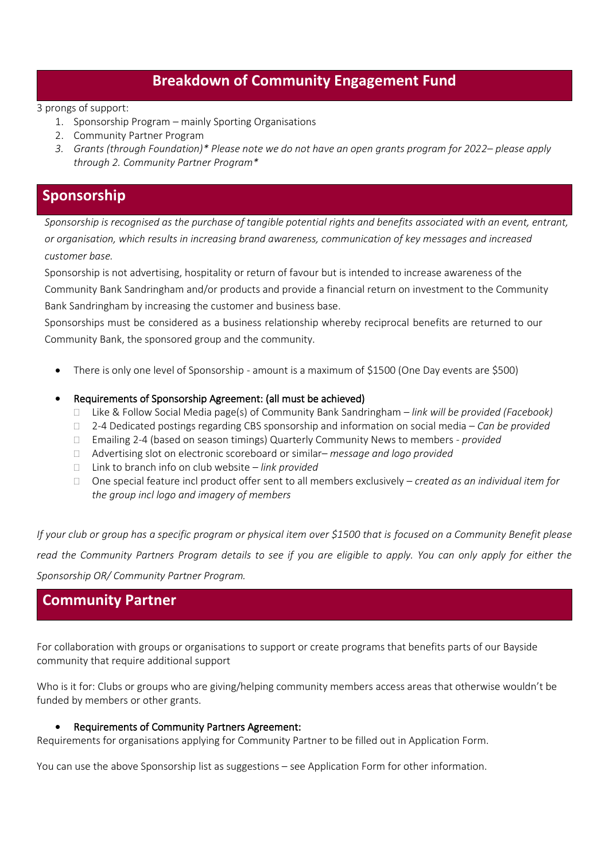## **Breakdown of Community Engagement Fund**

#### 3 prongs of support:

- 1. Sponsorship Program mainly Sporting Organisations
- 2. Community Partner Program
- *3. Grants (through Foundation)\* Please note we do not have an open grants program for 2022– please apply through 2. Community Partner Program\**

## **Sponsorship**

*Sponsorship is recognised as the purchase of tangible potential rights and benefits associated with an event, entrant, or organisation, which results in increasing brand awareness, communication of key messages and increased customer base.*

Sponsorship is not advertising, hospitality or return of favour but is intended to increase awareness of the Community Bank Sandringham and/or products and provide a financial return on investment to the Community Bank Sandringham by increasing the customer and business base.

Sponsorships must be considered as a business relationship whereby reciprocal benefits are returned to our Community Bank, the sponsored group and the community.

- There is only one level of Sponsorship amount is a maximum of \$1500 (One Day events are \$500)
- Requirements of Sponsorship Agreement: (all must be achieved)
	- Like & Follow Social Media page(s) of Community Bank Sandringham *link will be provided (Facebook)*
	- 2-4 Dedicated postings regarding CBS sponsorship and information on social media *Can be provided*
	- Emailing 2-4 (based on season timings) Quarterly Community News to members *provided*
	- Advertising slot on electronic scoreboard or similar– *message and logo provided*
	- Link to branch info on club website *link provided*
	- One special feature incl product offer sent to all members exclusively *created as an individual item for the group incl logo and imagery of members*

*If your club or group has a specific program or physical item over \$1500 that is focused on a Community Benefit please read the Community Partners Program details to see if you are eligible to apply. You can only apply for either the Sponsorship OR/ Community Partner Program.*

### **Community Partner**

For collaboration with groups or organisations to support or create programs that benefits parts of our Bayside community that require additional support

Who is it for: Clubs or groups who are giving/helping community members access areas that otherwise wouldn't be funded by members or other grants.

#### • Requirements of Community Partners Agreement:

Requirements for organisations applying for Community Partner to be filled out in Application Form.

You can use the above Sponsorship list as suggestions – see Application Form for other information.